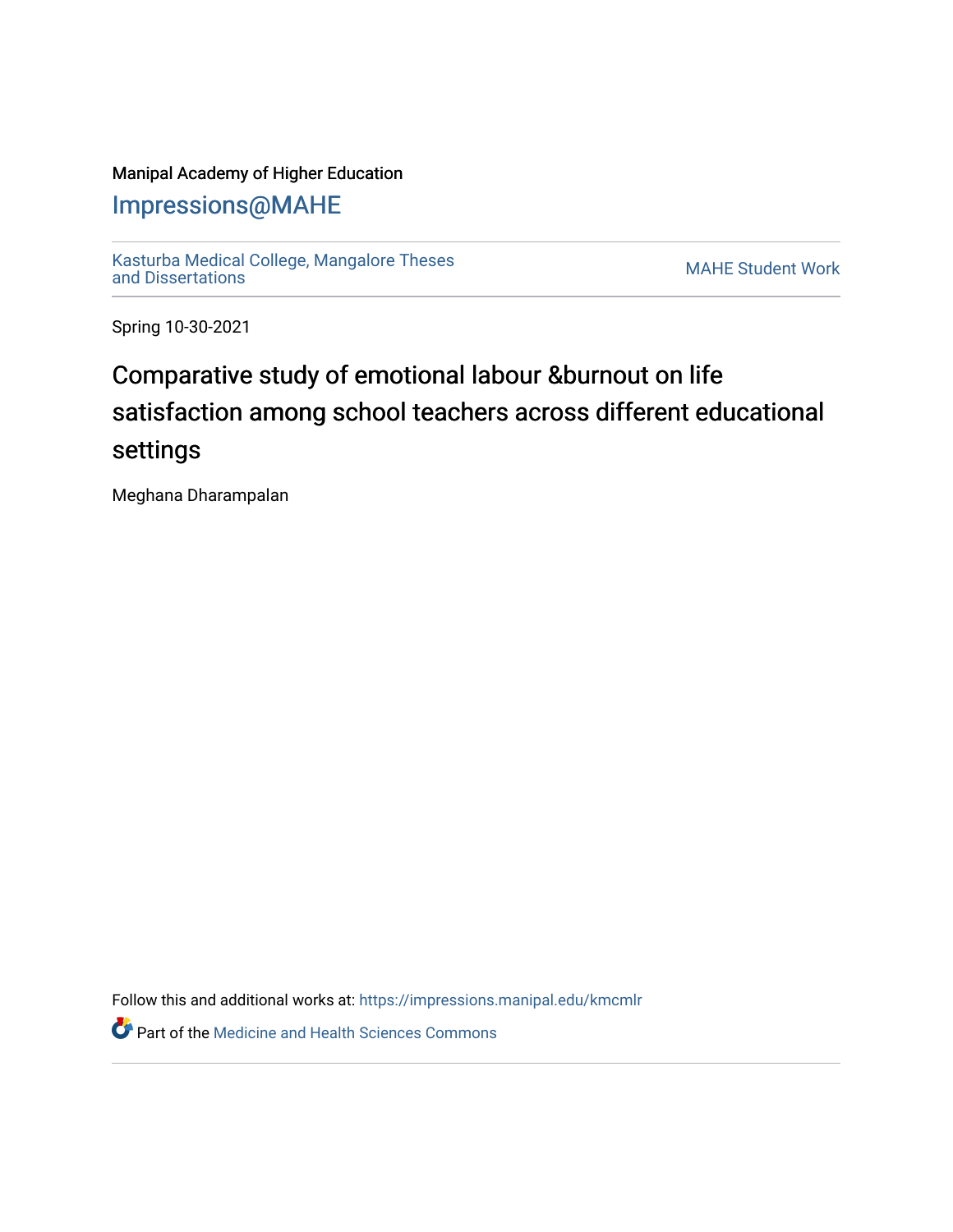### Manipal Academy of Higher Education

### [Impressions@MAHE](https://impressions.manipal.edu/)

[Kasturba Medical College, Mangalore Theses](https://impressions.manipal.edu/kmcmlr) [and Dissertations](https://impressions.manipal.edu/kmcmlr) [MAHE Student Work](https://impressions.manipal.edu/student-work) 

Spring 10-30-2021

# Comparative study of emotional labour &burnout on life satisfaction among school teachers across different educational settings

Meghana Dharampalan

Follow this and additional works at: [https://impressions.manipal.edu/kmcmlr](https://impressions.manipal.edu/kmcmlr?utm_source=impressions.manipal.edu%2Fkmcmlr%2F261&utm_medium=PDF&utm_campaign=PDFCoverPages) 

**Part of the Medicine and Health Sciences Commons**